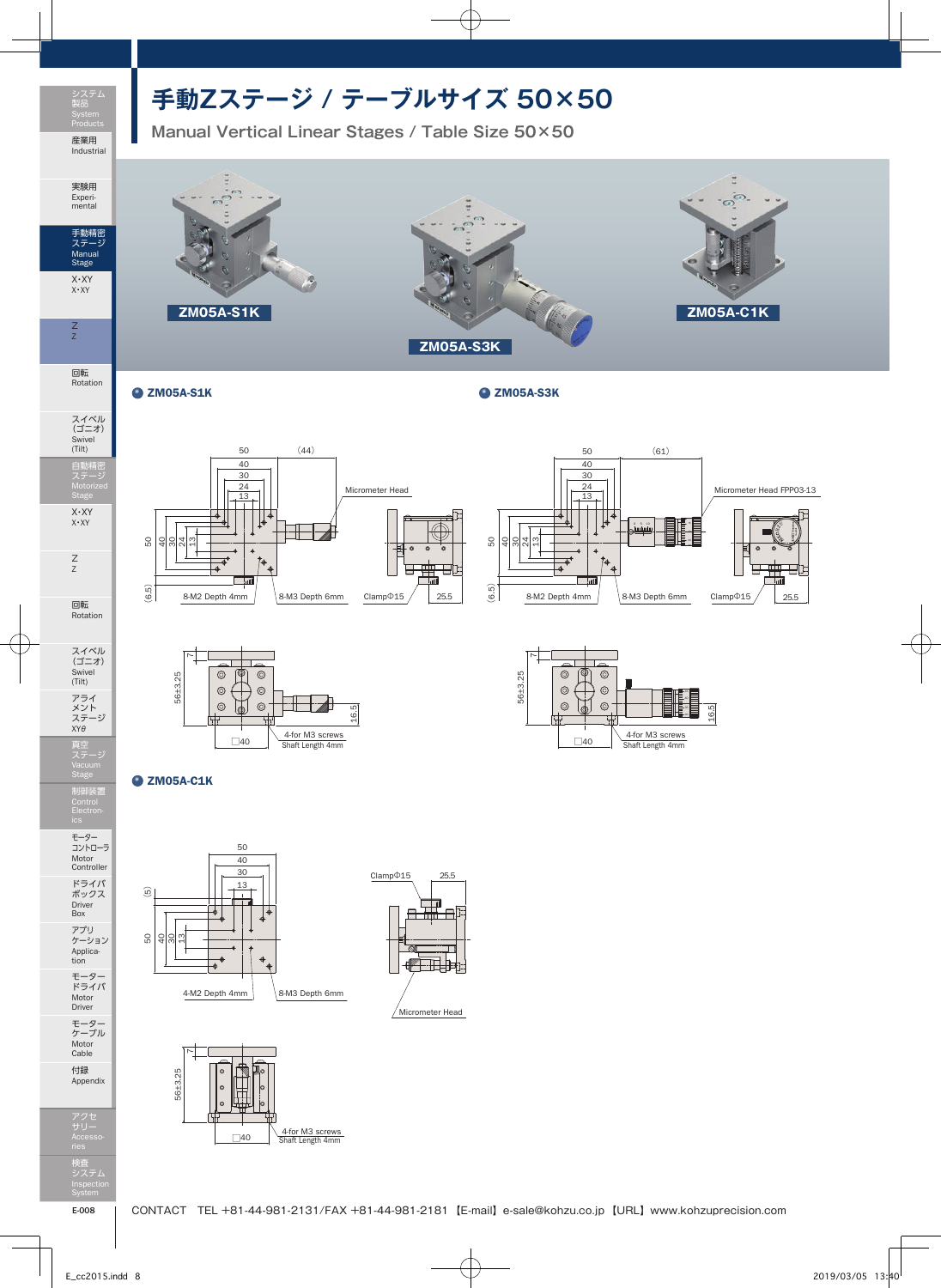

実験用 Experi-mental

手動精密 ステージ Manual Stage X・XY X・XY

Z Z

回転 Rotation

スイベル (ゴニオ) Swivel (Tilt)

自動精密 ステージ Motorized

X・XY X・XY

Z Z

回転 Rotation

スイベル (ゴニオ) Swivel (Tilt)

アライ<br>メント<br>ステージ<br>XYθ

真空 ステージ

制御装置 Control

モーター コントローラ Motor Controller ドライバ ボックス Driver Box

アプリ ケーション Applica-tion モーター ドライバ Motor Driver

モーター ケーブル Motor Cable 付録 Appendix

## **手動Zステージ / テーブルサイズ 50×50**

**Manual Vertical Linear Stages / Table Size 50×50**



 $\bullet$  ZM05A-S1K  $\bullet$  ZM05A-S3K







 $Q$  ZM05A-C1K







検査 システム Inspection

アクセ サリー Accesso-